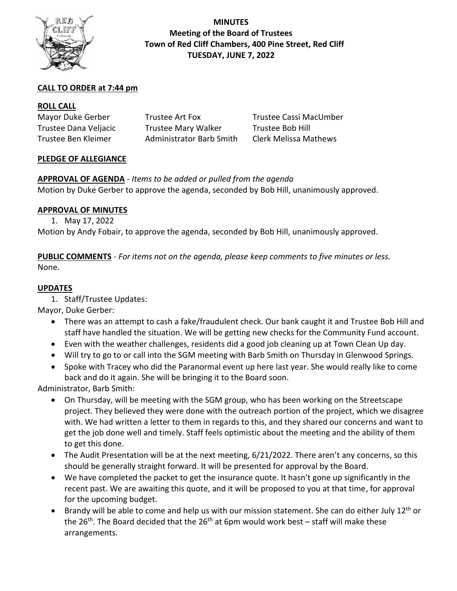

**MINUTES Meeting of the Board of Trustees Town of Red Cliff Chambers, 400 Pine Street, Red Cliff TUESDAY, JUNE 7, 2022**

## **CALL TO ORDER at 7:44 pm**

### **ROLL CALL**

| Mayor Duke Gerber     | Trustee Art Fox                 | Trustee Cassi MacUmber       |
|-----------------------|---------------------------------|------------------------------|
| Trustee Dana Veljacic | <b>Trustee Mary Walker</b>      | Trustee Bob Hill             |
| Trustee Ben Kleimer   | <b>Administrator Barb Smith</b> | <b>Clerk Melissa Mathews</b> |

#### **PLEDGE OF ALLEGIANCE**

# **APPROVAL OF AGENDA** *- Items to be added or pulled from the agenda*

Motion by Duke Gerber to approve the agenda, seconded by Bob Hill, unanimously approved.

### **APPROVAL OF MINUTES**

1. May 17, 2022

Motion by Andy Fobair, to approve the agenda, seconded by Bob Hill, unanimously approved.

**PUBLIC COMMENTS** *- For items not on the agenda, please keep comments to five minutes or less.* None.

# **UPDATES**

1. Staff/Trustee Updates:

Mayor, Duke Gerber:

- There was an attempt to cash a fake/fraudulent check. Our bank caught it and Trustee Bob Hill and staff have handled the situation. We will be getting new checks for the Community Fund account.
- Even with the weather challenges, residents did a good job cleaning up at Town Clean Up day.
- Will try to go to or call into the SGM meeting with Barb Smith on Thursday in Glenwood Springs.
- Spoke with Tracey who did the Paranormal event up here last year. She would really like to come back and do it again. She will be bringing it to the Board soon.

Administrator, Barb Smith:

- On Thursday, will be meeting with the SGM group, who has been working on the Streetscape project. They believed they were done with the outreach portion of the project, which we disagree with. We had written a letter to them in regards to this, and they shared our concerns and want to get the job done well and timely. Staff feels optimistic about the meeting and the ability of them to get this done.
- The Audit Presentation will be at the next meeting, 6/21/2022. There aren't any concerns, so this should be generally straight forward. It will be presented for approval by the Board.
- We have completed the packet to get the insurance quote. It hasn't gone up significantly in the recent past. We are awaiting this quote, and it will be proposed to you at that time, for approval for the upcoming budget.
- Brandy will be able to come and help us with our mission statement. She can do either July 12<sup>th</sup> or the 26<sup>th</sup>. The Board decided that the 26<sup>th</sup> at 6pm would work best – staff will make these arrangements.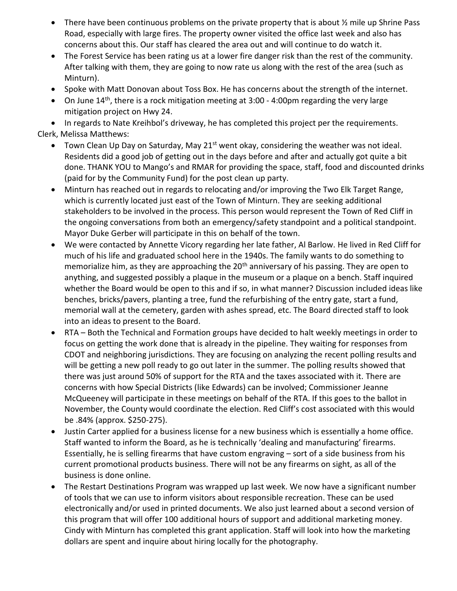- There have been continuous problems on the private property that is about  $\frac{1}{2}$  mile up Shrine Pass Road, especially with large fires. The property owner visited the office last week and also has concerns about this. Our staff has cleared the area out and will continue to do watch it.
- The Forest Service has been rating us at a lower fire danger risk than the rest of the community. After talking with them, they are going to now rate us along with the rest of the area (such as Minturn).
- Spoke with Matt Donovan about Toss Box. He has concerns about the strength of the internet.
- On June  $14<sup>th</sup>$ , there is a rock mitigation meeting at 3:00 4:00pm regarding the very large mitigation project on Hwy 24.

• In regards to Nate Kreihbol's driveway, he has completed this project per the requirements. Clerk, Melissa Matthews:

- Town Clean Up Day on Saturday, May 21<sup>st</sup> went okay, considering the weather was not ideal. Residents did a good job of getting out in the days before and after and actually got quite a bit done. THANK YOU to Mango's and RMAR for providing the space, staff, food and discounted drinks (paid for by the Community Fund) for the post clean up party.
- Minturn has reached out in regards to relocating and/or improving the Two Elk Target Range, which is currently located just east of the Town of Minturn. They are seeking additional stakeholders to be involved in the process. This person would represent the Town of Red Cliff in the ongoing conversations from both an emergency/safety standpoint and a political standpoint. Mayor Duke Gerber will participate in this on behalf of the town.
- We were contacted by Annette Vicory regarding her late father, Al Barlow. He lived in Red Cliff for much of his life and graduated school here in the 1940s. The family wants to do something to memorialize him, as they are approaching the 20<sup>th</sup> anniversary of his passing. They are open to anything, and suggested possibly a plaque in the museum or a plaque on a bench. Staff inquired whether the Board would be open to this and if so, in what manner? Discussion included ideas like benches, bricks/pavers, planting a tree, fund the refurbishing of the entry gate, start a fund, memorial wall at the cemetery, garden with ashes spread, etc. The Board directed staff to look into an ideas to present to the Board.
- RTA Both the Technical and Formation groups have decided to halt weekly meetings in order to focus on getting the work done that is already in the pipeline. They waiting for responses from CDOT and neighboring jurisdictions. They are focusing on analyzing the recent polling results and will be getting a new poll ready to go out later in the summer. The polling results showed that there was just around 50% of support for the RTA and the taxes associated with it. There are concerns with how Special Districts (like Edwards) can be involved; Commissioner Jeanne McQueeney will participate in these meetings on behalf of the RTA. If this goes to the ballot in November, the County would coordinate the election. Red Cliff's cost associated with this would be .84% (approx. \$250-275).
- Justin Carter applied for a business license for a new business which is essentially a home office. Staff wanted to inform the Board, as he is technically 'dealing and manufacturing' firearms. Essentially, he is selling firearms that have custom engraving – sort of a side business from his current promotional products business. There will not be any firearms on sight, as all of the business is done online.
- The Restart Destinations Program was wrapped up last week. We now have a significant number of tools that we can use to inform visitors about responsible recreation. These can be used electronically and/or used in printed documents. We also just learned about a second version of this program that will offer 100 additional hours of support and additional marketing money. Cindy with Minturn has completed this grant application. Staff will look into how the marketing dollars are spent and inquire about hiring locally for the photography.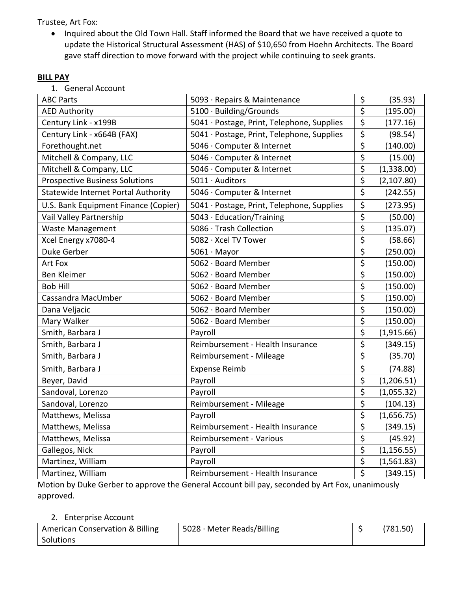Trustee, Art Fox:

• Inquired about the Old Town Hall. Staff informed the Board that we have received a quote to update the Historical Structural Assessment (HAS) of \$10,650 from Hoehn Architects. The Board gave staff direction to move forward with the project while continuing to seek grants.

# **BILL PAY**

| 1. General Account |
|--------------------|
|                    |

| <b>ABC Parts</b>                           | 5093 · Repairs & Maintenance               | \$                              | (35.93)     |
|--------------------------------------------|--------------------------------------------|---------------------------------|-------------|
| <b>AED Authority</b>                       | 5100 · Building/Grounds                    | $\overline{\boldsymbol{\zeta}}$ | (195.00)    |
| Century Link - x199B                       | 5041 · Postage, Print, Telephone, Supplies | $\overline{\boldsymbol{\zeta}}$ | (177.16)    |
| Century Link - x664B (FAX)                 | 5041 · Postage, Print, Telephone, Supplies | \$                              | (98.54)     |
| Forethought.net                            | 5046 · Computer & Internet                 | $\overline{\boldsymbol{\zeta}}$ | (140.00)    |
| Mitchell & Company, LLC                    | 5046 · Computer & Internet                 | \$                              | (15.00)     |
| Mitchell & Company, LLC                    | 5046 · Computer & Internet                 | $\overline{\boldsymbol{\zeta}}$ | (1,338.00)  |
| <b>Prospective Business Solutions</b>      | 5011 · Auditors                            | \$                              | (2,107.80)  |
| <b>Statewide Internet Portal Authority</b> | 5046 · Computer & Internet                 | $\overline{\xi}$                | (242.55)    |
| U.S. Bank Equipment Finance (Copier)       | 5041 · Postage, Print, Telephone, Supplies | \$                              | (273.95)    |
| Vail Valley Partnership                    | 5043 · Education/Training                  | $\overline{\boldsymbol{\zeta}}$ | (50.00)     |
| <b>Waste Management</b>                    | 5086 · Trash Collection                    | $\overline{\xi}$                | (135.07)    |
| Xcel Energy x7080-4                        | 5082 · Xcel TV Tower                       | \$                              | (58.66)     |
| Duke Gerber                                | $5061 \cdot$ Mayor                         | \$                              | (250.00)    |
| Art Fox                                    | 5062 · Board Member                        | \$                              | (150.00)    |
| <b>Ben Kleimer</b>                         | 5062 · Board Member                        | $\overline{\xi}$                | (150.00)    |
| <b>Bob Hill</b>                            | 5062 · Board Member                        | \$                              | (150.00)    |
| Cassandra MacUmber                         | 5062 · Board Member                        | \$                              | (150.00)    |
| Dana Veljacic                              | 5062 · Board Member                        | \$                              | (150.00)    |
| Mary Walker                                | 5062 · Board Member                        | \$                              | (150.00)    |
| Smith, Barbara J                           | Payroll                                    | \$                              | (1,915.66)  |
| Smith, Barbara J                           | Reimbursement - Health Insurance           | $\overline{\boldsymbol{\zeta}}$ | (349.15)    |
| Smith, Barbara J                           | Reimbursement - Mileage                    | $\overline{\xi}$                | (35.70)     |
| Smith, Barbara J                           | <b>Expense Reimb</b>                       | \$                              | (74.88)     |
| Beyer, David                               | Payroll                                    | $\overline{\xi}$                | (1,206.51)  |
| Sandoval, Lorenzo                          | Payroll                                    | \$                              | (1,055.32)  |
| Sandoval, Lorenzo                          | Reimbursement - Mileage                    | $\overline{\xi}$                | (104.13)    |
| Matthews, Melissa                          | Payroll                                    | \$                              | (1,656.75)  |
| Matthews, Melissa                          | Reimbursement - Health Insurance           | \$                              | (349.15)    |
| Matthews, Melissa                          | Reimbursement - Various                    | $\overline{\xi}$                | (45.92)     |
| Gallegos, Nick                             | Payroll                                    | $\overline{\xi}$                | (1, 156.55) |
| Martinez, William                          | Payroll                                    | \$                              | (1,561.83)  |
| Martinez, William                          | Reimbursement - Health Insurance           | $\overline{\xi}$                | (349.15)    |

Motion by Duke Gerber to approve the General Account bill pay, seconded by Art Fox, unanimously approved.

#### 2. Enterprise Account

| <b>American Conservation &amp; Billing</b> | $5028 \cdot$ Meter Reads/Billing | (781.50) |
|--------------------------------------------|----------------------------------|----------|
| Solutions                                  |                                  |          |